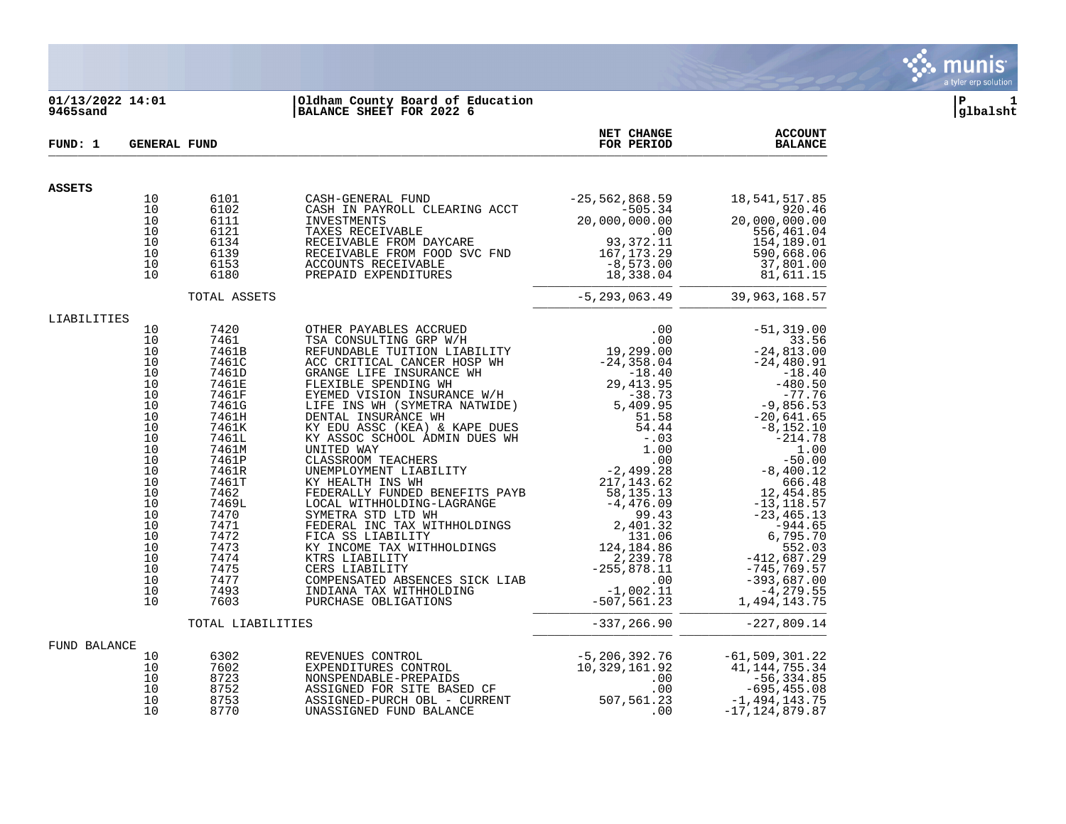

### **01/13/2022 14:01 |Oldham County Board of Education |P 1 9465sand |BALANCE SHEET FOR 2022 6 |glbalsht**

| FUND: 1       | <b>GENERAL FUND</b>                                                                                                                                      |                                                              |                                                                                                                                                                                                                                                    | NET CHANGE<br>FOR PERIOD | <b>ACCOUNT</b><br><b>BALANCE</b>  |
|---------------|----------------------------------------------------------------------------------------------------------------------------------------------------------|--------------------------------------------------------------|----------------------------------------------------------------------------------------------------------------------------------------------------------------------------------------------------------------------------------------------------|--------------------------|-----------------------------------|
| <b>ASSETS</b> |                                                                                                                                                          |                                                              |                                                                                                                                                                                                                                                    |                          |                                   |
|               | 10<br>10<br>10<br>10<br>10<br>10<br>10<br>10                                                                                                             | 6101<br>6102<br>6111<br>6121<br>6134<br>6139<br>6153<br>6180 | CASH-GENERAL FUND<br>CASH IN PAYROLL CLEARING ACCT<br>INVESTMENTS<br>INVESTMENTS<br>TAXES RECEIVABLE<br>RECEIVABLE FROM DAYCARE<br>RECEIVABLE FROM DAYCARE<br>RECEIVABLE FROM DAYCARE<br>PRECEIVABLE FROM FOOD SVC FND<br>ACCOUNTS RECEIVABLE<br>P |                          |                                   |
|               |                                                                                                                                                          | TOTAL ASSETS                                                 |                                                                                                                                                                                                                                                    |                          | $-5, 293, 063.49$ 39, 963, 168.57 |
| LIABILITIES   | 10<br>10<br>10<br>10<br>10<br>10<br>10<br>10<br>10<br>10<br>10<br>10<br>10<br>10<br>10<br>10<br>10<br>10<br>10<br>10<br>10<br>10<br>10<br>10<br>10<br>10 |                                                              |                                                                                                                                                                                                                                                    |                          |                                   |
|               |                                                                                                                                                          | TOTAL LIABILITIES                                            |                                                                                                                                                                                                                                                    |                          |                                   |
| FUND BALANCE  | 10<br>10<br>10<br>10<br>10<br>10                                                                                                                         | 6302<br>7602<br>8723<br>8752<br>8753<br>8770                 | REVENUES CONTROL<br>EXPENDITURES CONTROL 50 5,206,392.76 -61,509,301.22<br>NONSPENDABLE-PREPAIDS 10,329,161.92 41,144,755.34<br>ASSIGNED FOR SITE BASED CF 56,334.85<br>ASSIGNED PURCH OBL - CURRENT 507,561.23 -1,494,143.75<br>UNASSIG           |                          |                                   |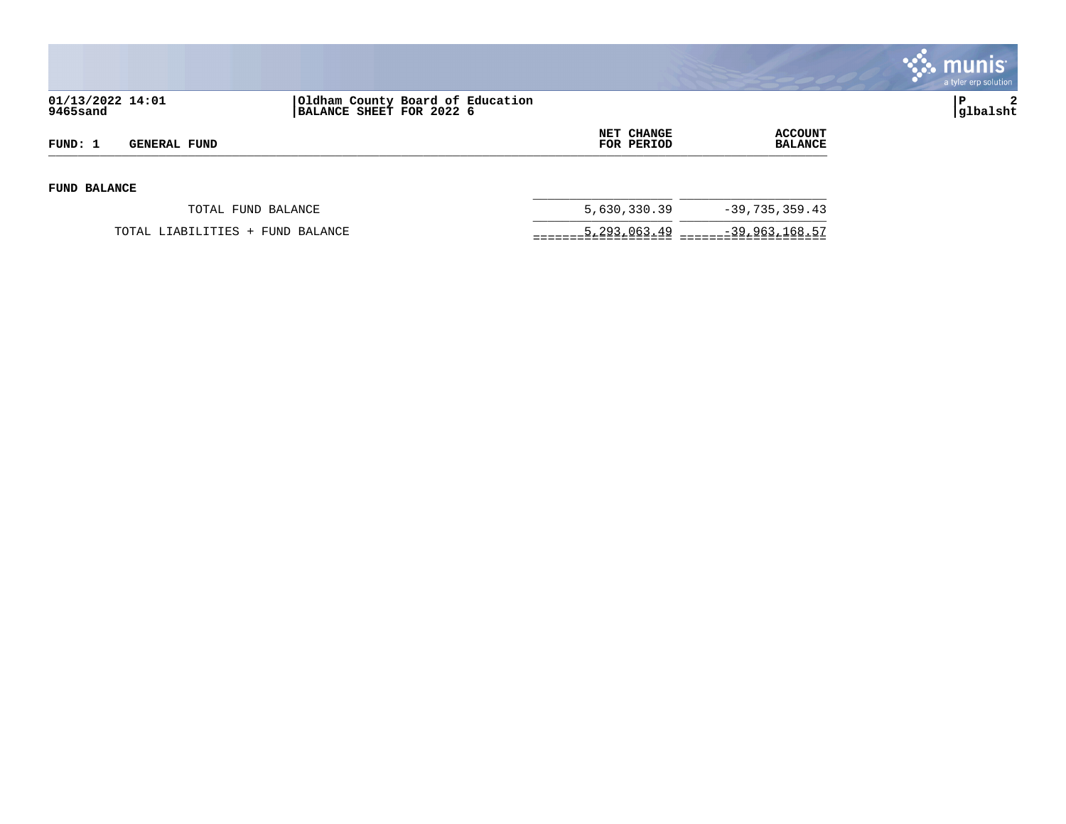

| 01/13/2022 14:01<br>9465sand |                                  | Oldham County Board of Education<br>BALANCE SHEET FOR 2022 6 |                                 |                           | $\overline{2}$<br>P<br> glbalsht |
|------------------------------|----------------------------------|--------------------------------------------------------------|---------------------------------|---------------------------|----------------------------------|
| FUND: 1                      | <b>GENERAL FUND</b>              |                                                              | <b>NET CHANGE</b><br>FOR PERIOD | ACCOUNT<br><b>BALANCE</b> |                                  |
| <b>FUND BALANCE</b>          |                                  |                                                              |                                 |                           |                                  |
|                              | TOTAL FUND BALANCE               |                                                              | 5,630,330.39                    | $-39,735,359.43$          |                                  |
|                              | TOTAL LIABILITIES + FUND BALANCE |                                                              | 5,293,063.49                    | -39,963,168.57            |                                  |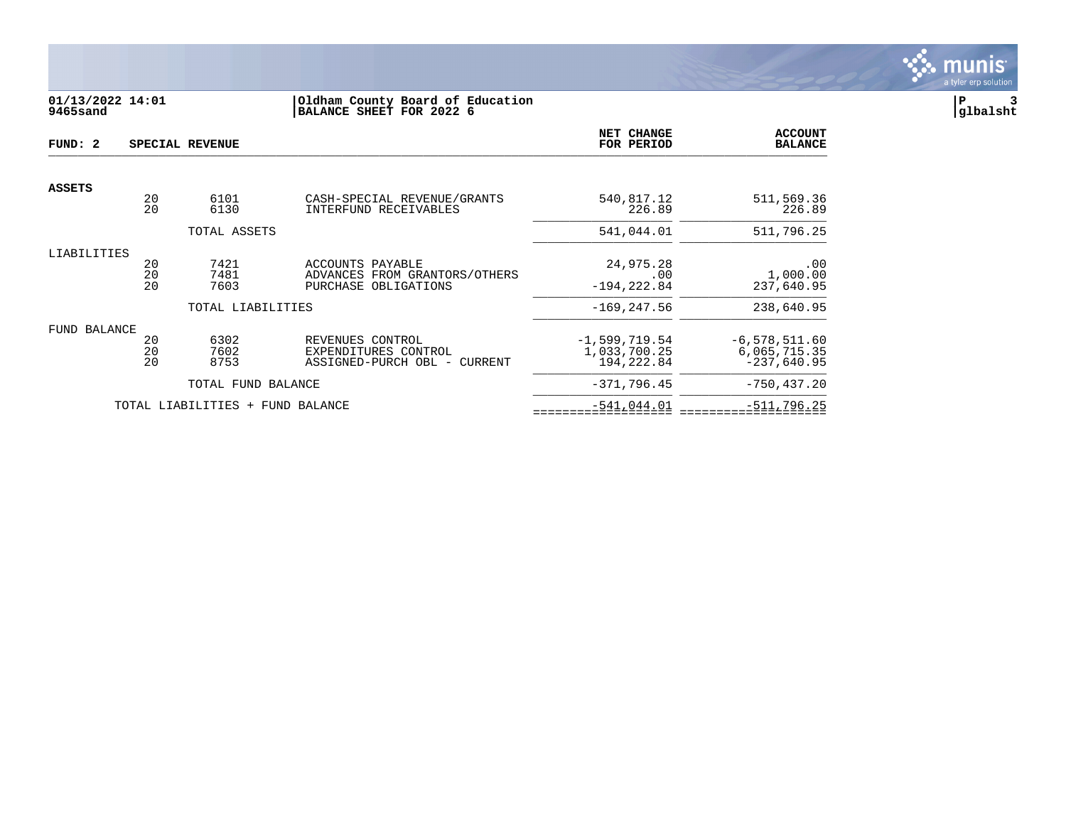

# **01/13/2022 14:01 |Oldham County Board of Education |P 3 9465sand |BALANCE SHEET FOR 2022 6 |glbalsht**

| FUND: 2       |                | SPECIAL REVENUE                  |                                                                           | NET CHANGE<br>FOR PERIOD                       | <b>ACCOUNT</b><br><b>BALANCE</b>                 |
|---------------|----------------|----------------------------------|---------------------------------------------------------------------------|------------------------------------------------|--------------------------------------------------|
|               |                |                                  |                                                                           |                                                |                                                  |
| <b>ASSETS</b> | 20<br>20       | 6101<br>6130                     | CASH-SPECIAL REVENUE/GRANTS<br>INTERFUND RECEIVABLES                      | 540,817.12<br>226.89                           | 511,569.36<br>226.89                             |
|               |                | TOTAL ASSETS                     |                                                                           | 541,044.01                                     | 511,796.25                                       |
| LIABILITIES   | 20<br>20<br>20 | 7421<br>7481<br>7603             | ACCOUNTS PAYABLE<br>ADVANCES FROM GRANTORS/OTHERS<br>PURCHASE OBLIGATIONS | 24,975.28<br>.00<br>$-194, 222.84$             | .00<br>1,000.00<br>237,640.95                    |
|               |                | TOTAL LIABILITIES                |                                                                           | $-169, 247.56$                                 | 238,640.95                                       |
| FUND BALANCE  | 20<br>20<br>20 | 6302<br>7602<br>8753             | REVENUES CONTROL<br>EXPENDITURES CONTROL<br>ASSIGNED-PURCH OBL - CURRENT  | $-1,599,719.54$<br>1,033,700.25<br>194, 222.84 | $-6,578,511.60$<br>6,065,715.35<br>$-237,640.95$ |
|               |                | TOTAL FUND BALANCE               |                                                                           | $-371,796.45$                                  | $-750, 437.20$                                   |
|               |                | TOTAL LIABILITIES + FUND BALANCE |                                                                           | $-541,044.01$                                  | $-511,796.25$                                    |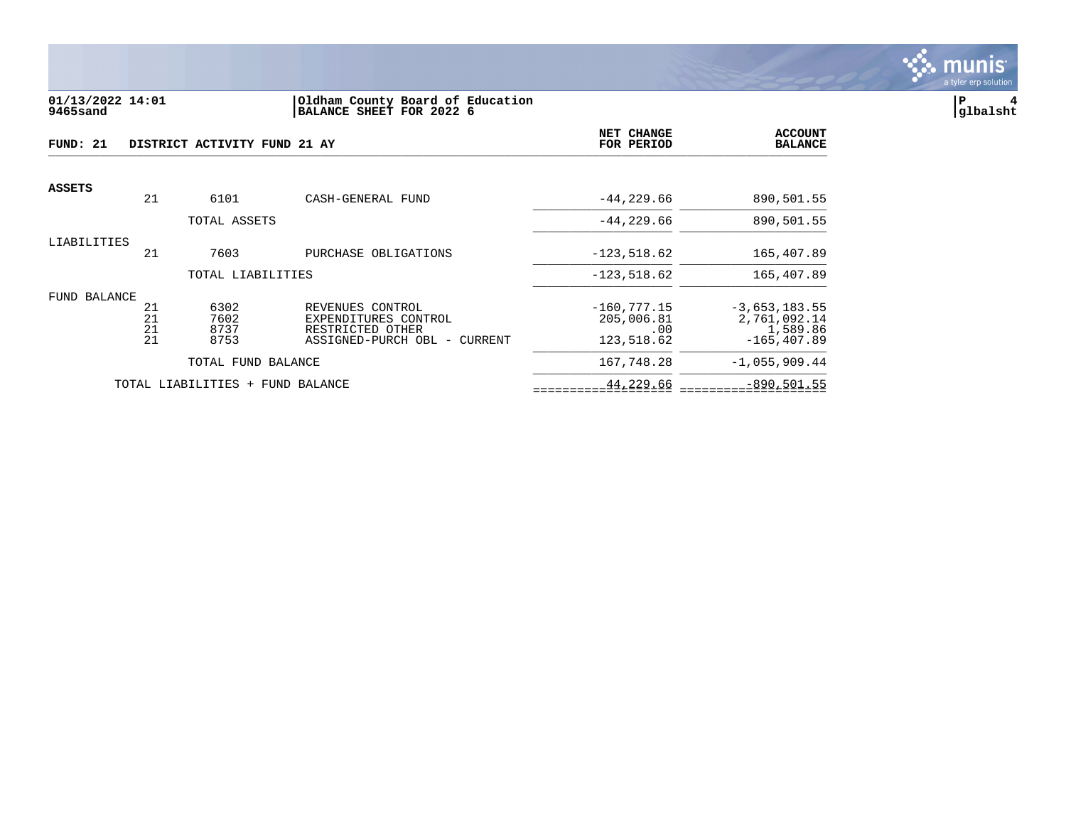

#### **01/13/2022 14:01 |Oldham County Board of Education |P 4 9465sand |BALANCE SHEET FOR 2022 6 |glbalsht**

| FUND: 21      |          | DISTRICT ACTIVITY FUND 21 AY     |                                          | <b>NET CHANGE</b><br>FOR PERIOD | <b>ACCOUNT</b><br><b>BALANCE</b> |
|---------------|----------|----------------------------------|------------------------------------------|---------------------------------|----------------------------------|
| <b>ASSETS</b> |          |                                  |                                          |                                 |                                  |
|               | 21       | 6101                             | CASH-GENERAL FUND                        | $-44, 229.66$                   | 890,501.55                       |
|               |          | TOTAL ASSETS                     |                                          | $-44, 229.66$                   | 890,501.55                       |
| LIABILITIES   |          |                                  |                                          |                                 |                                  |
|               | 21       | 7603                             | PURCHASE OBLIGATIONS                     | $-123,518.62$                   | 165,407.89                       |
|               |          | TOTAL LIABILITIES                |                                          | $-123,518.62$                   | 165,407.89                       |
| FUND BALANCE  |          |                                  |                                          |                                 |                                  |
|               | 21<br>21 | 6302<br>7602                     | REVENUES CONTROL<br>EXPENDITURES CONTROL | $-160, 777.15$<br>205,006.81    | $-3,653,183.55$<br>2,761,092.14  |
|               | 21       | 8737                             | RESTRICTED OTHER                         | .00                             | 1,589.86                         |
|               | 21       | 8753                             | ASSIGNED-PURCH OBL - CURRENT             | 123,518.62                      | $-165.407.89$                    |
|               |          | TOTAL FUND BALANCE               |                                          | 167,748.28                      | $-1,055,909.44$                  |
|               |          | TOTAL LIABILITIES + FUND BALANCE |                                          | 44,229.66                       | $-890, 501.55$                   |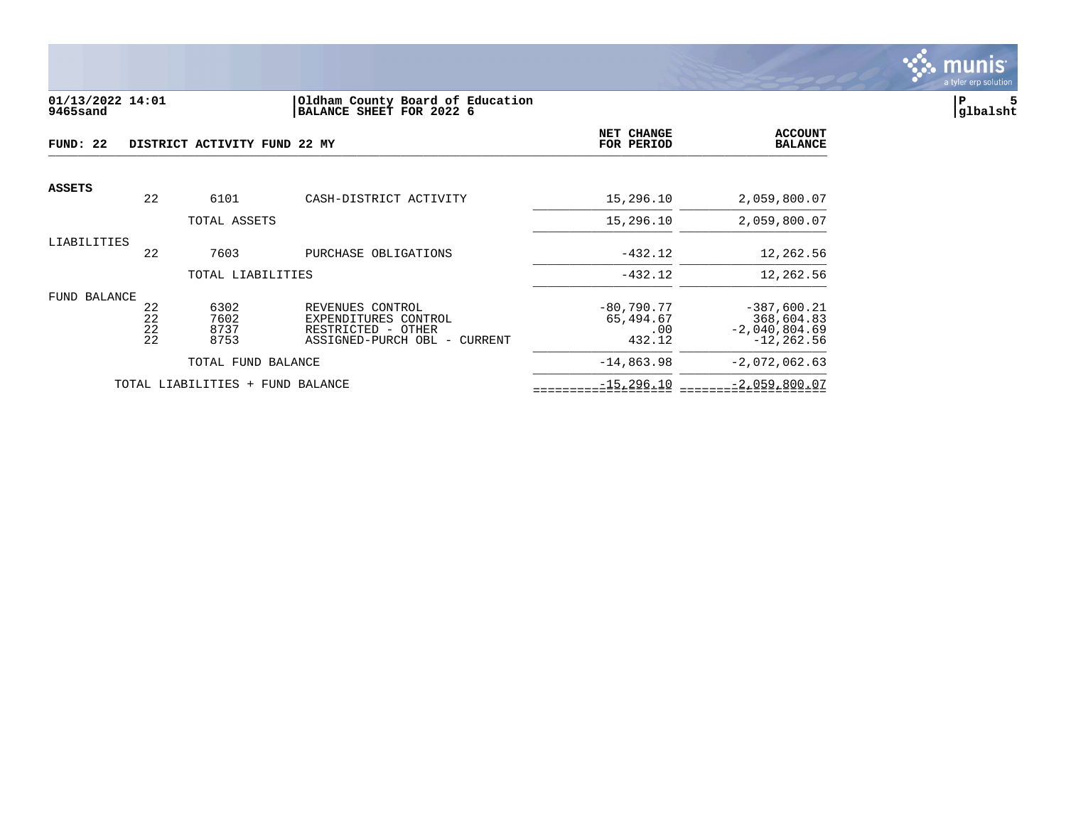

#### **01/13/2022 14:01 |Oldham County Board of Education |P 5 9465sand |BALANCE SHEET FOR 2022 6 |glbalsht**

| FUND: 22            |                      | DISTRICT ACTIVITY FUND 22 MY |                                                                                                | NET CHANGE<br>FOR PERIOD                   | <b>ACCOUNT</b><br><b>BALANCE</b>                                |
|---------------------|----------------------|------------------------------|------------------------------------------------------------------------------------------------|--------------------------------------------|-----------------------------------------------------------------|
| <b>ASSETS</b>       | 22                   | 6101                         | CASH-DISTRICT ACTIVITY                                                                         | 15,296.10                                  | 2,059,800.07                                                    |
|                     |                      | TOTAL ASSETS                 |                                                                                                | 15,296.10                                  | 2,059,800.07                                                    |
| LIABILITIES         | 22                   | 7603                         | PURCHASE OBLIGATIONS                                                                           | $-432.12$                                  | 12,262.56                                                       |
|                     |                      | TOTAL LIABILITIES            |                                                                                                | $-432.12$                                  | 12,262.56                                                       |
| <b>FUND BALANCE</b> | 22<br>22<br>22<br>22 | 6302<br>7602<br>8737<br>8753 | REVENUES CONTROL<br>EXPENDITURES CONTROL<br>RESTRICTED - OTHER<br>ASSIGNED-PURCH OBL - CURRENT | $-80,790.77$<br>65,494.67<br>.00<br>432.12 | $-387,600.21$<br>368,604.83<br>$-2,040,804.69$<br>$-12, 262.56$ |
|                     |                      | TOTAL FUND BALANCE           |                                                                                                | $-14,863.98$                               | $-2,072,062.63$                                                 |
|                     |                      | TOTAL LIABILITIES            | + FUND BALANCE                                                                                 | $-15, 296.10$                              | $-2,059,800.07$                                                 |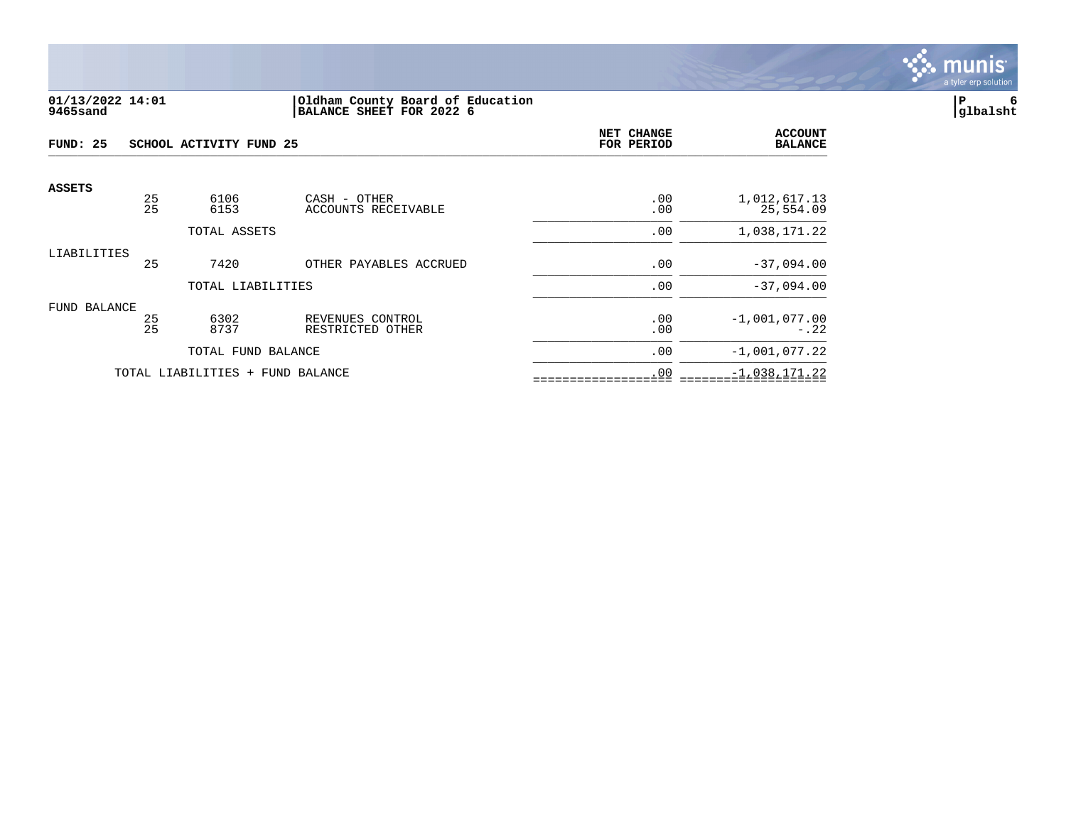

#### **01/13/2022 14:01 |Oldham County Board of Education |P 6 9465sand |BALANCE SHEET FOR 2022 6 |glbalsht**

| FUND: 25      |                                  | SCHOOL ACTIVITY FUND 25 | NET CHANGE<br>FOR PERIOD             | <b>ACCOUNT</b><br><b>BALANCE</b> |                           |
|---------------|----------------------------------|-------------------------|--------------------------------------|----------------------------------|---------------------------|
| <b>ASSETS</b> |                                  |                         |                                      |                                  |                           |
|               | 25<br>25                         | 6106<br>6153            | CASH - OTHER<br>ACCOUNTS RECEIVABLE  | .00<br>.00                       | 1,012,617.13<br>25,554.09 |
|               |                                  | TOTAL ASSETS            |                                      | .00                              | 1,038,171.22              |
| LIABILITIES   | 25                               | 7420                    | OTHER PAYABLES ACCRUED               | .00                              | $-37,094.00$              |
|               |                                  | TOTAL LIABILITIES       |                                      | .00                              | $-37,094.00$              |
| FUND BALANCE  | 25<br>25                         | 6302<br>8737            | REVENUES CONTROL<br>RESTRICTED OTHER | .00<br>.00                       | $-1,001,077.00$<br>$-.22$ |
|               |                                  | TOTAL FUND BALANCE      |                                      | .00                              | $-1,001,077.22$           |
|               | TOTAL LIABILITIES + FUND BALANCE |                         |                                      | .00                              | $-1,038,171.22$           |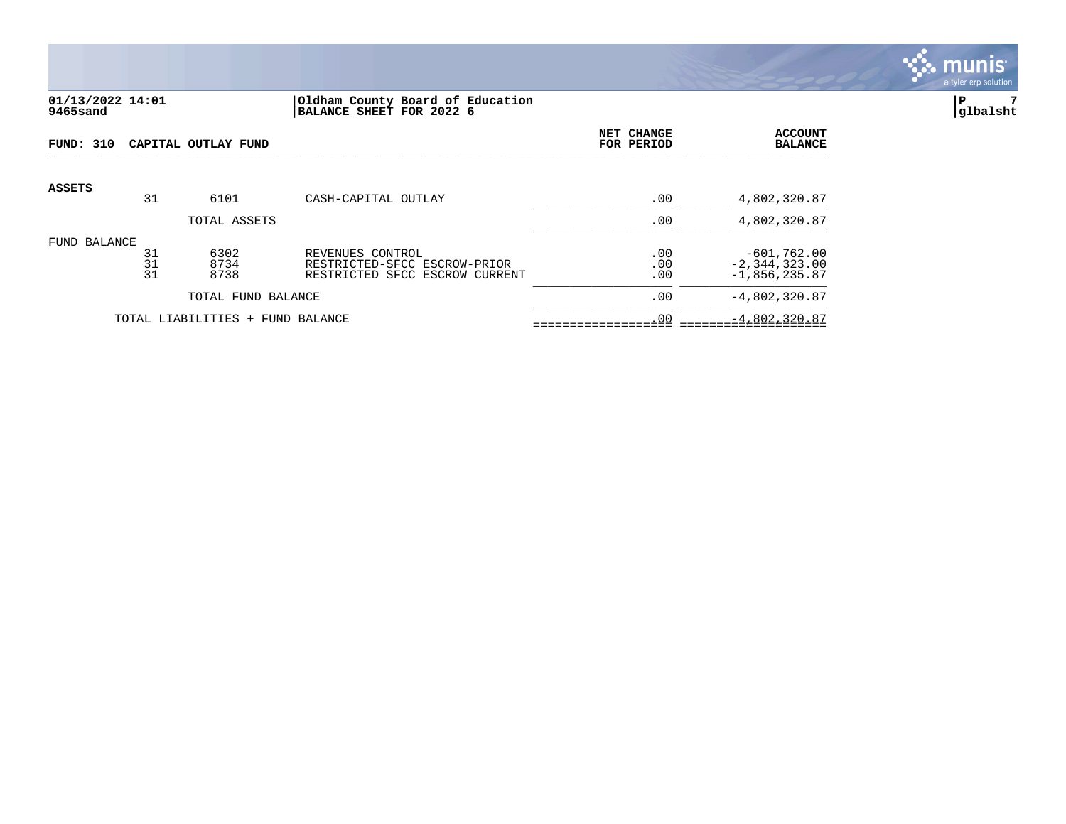

## **01/13/2022 14:01 |Oldham County Board of Education |P 7 9465sand |BALANCE SHEET FOR 2022 6 |glbalsht**

| <b>FUND: 310</b> |                | CAPITAL OUTLAY FUND              |                                                                                    | NET CHANGE<br>FOR PERIOD | <b>ACCOUNT</b><br><b>BALANCE</b>                      |
|------------------|----------------|----------------------------------|------------------------------------------------------------------------------------|--------------------------|-------------------------------------------------------|
| <b>ASSETS</b>    | 31             | 6101                             | CASH-CAPITAL OUTLAY                                                                | .00                      | 4,802,320.87                                          |
|                  |                | TOTAL ASSETS                     |                                                                                    | .00                      | 4,802,320.87                                          |
| FUND BALANCE     | 31<br>31<br>31 | 6302<br>8734<br>8738             | REVENUES CONTROL<br>RESTRICTED-SFCC ESCROW-PRIOR<br>RESTRICTED SFCC ESCROW CURRENT | .00<br>.00<br>.00        | $-601,762.00$<br>$-2, 344, 323.00$<br>$-1,856,235.87$ |
|                  |                | TOTAL FUND BALANCE               |                                                                                    | .00                      | $-4,802,320.87$                                       |
|                  |                | TOTAL LIABILITIES + FUND BALANCE |                                                                                    | .00                      | $-4,802,320.87$                                       |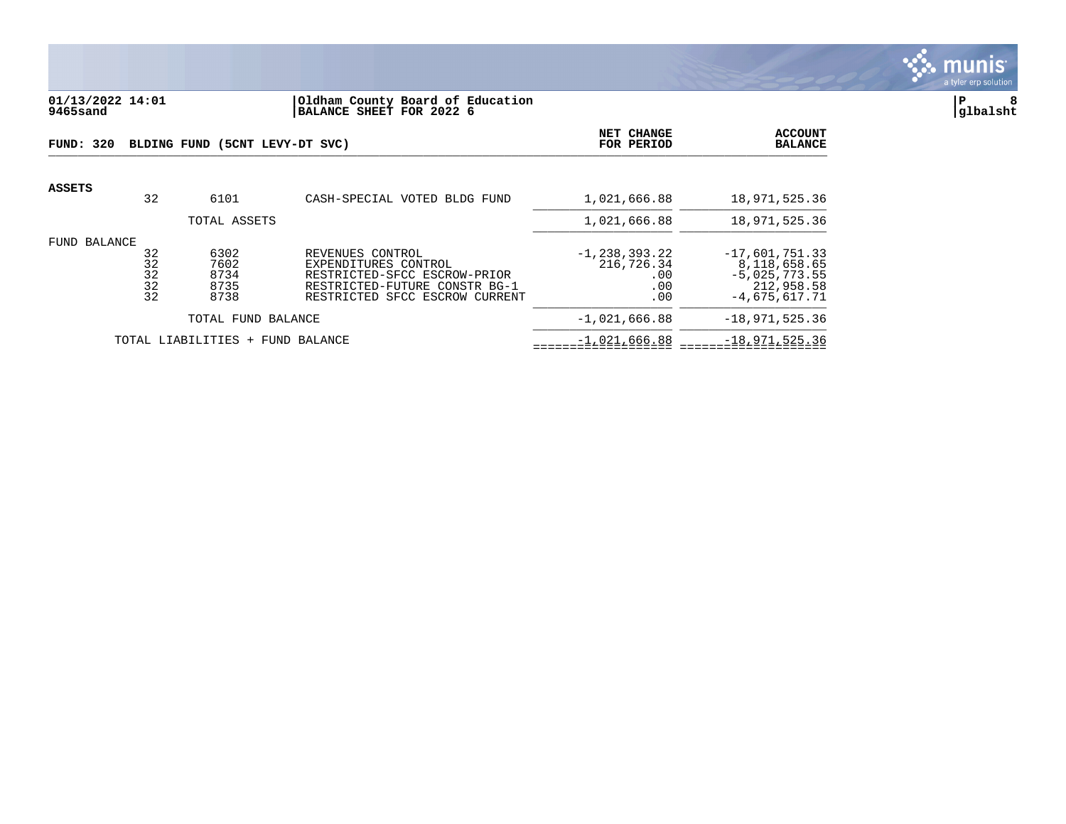

## **01/13/2022 14:01 |Oldham County Board of Education |P 8 9465sand |BALANCE SHEET FOR 2022 6 |glbalsht**

| FUND: 320    |                            | BLDING FUND (5CNT LEVY-DT SVC)       | <b>NET CHANGE</b><br>FOR PERIOD                                                                                                             | <b>ACCOUNT</b><br><b>BALANCE</b>                     |                                                                                      |
|--------------|----------------------------|--------------------------------------|---------------------------------------------------------------------------------------------------------------------------------------------|------------------------------------------------------|--------------------------------------------------------------------------------------|
| ASSETS       | 32                         | 6101                                 | CASH-SPECIAL VOTED BLDG FUND                                                                                                                | 1,021,666.88                                         | 18,971,525.36                                                                        |
|              |                            | TOTAL ASSETS                         |                                                                                                                                             | 1,021,666.88                                         | 18,971,525.36                                                                        |
| FUND BALANCE | 32<br>32<br>32<br>32<br>32 | 6302<br>7602<br>8734<br>8735<br>8738 | REVENUES CONTROL<br>EXPENDITURES CONTROL<br>RESTRICTED-SFCC ESCROW-PRIOR<br>RESTRICTED-FUTURE CONSTR BG-1<br>RESTRICTED SFCC ESCROW CURRENT | $-1, 238, 393.22$<br>216,726.34<br>.00<br>.00<br>.00 | $-17,601,751.33$<br>8,118,658.65<br>$-5,025,773.55$<br>212,958.58<br>$-4,675,617.71$ |
|              |                            | TOTAL FUND BALANCE                   |                                                                                                                                             | $-1,021,666.88$                                      | $-18,971,525.36$                                                                     |
|              |                            | TOTAL LIABILITIES + FUND BALANCE     |                                                                                                                                             | $-1,021,666.88$                                      | $-18,971,525.36$                                                                     |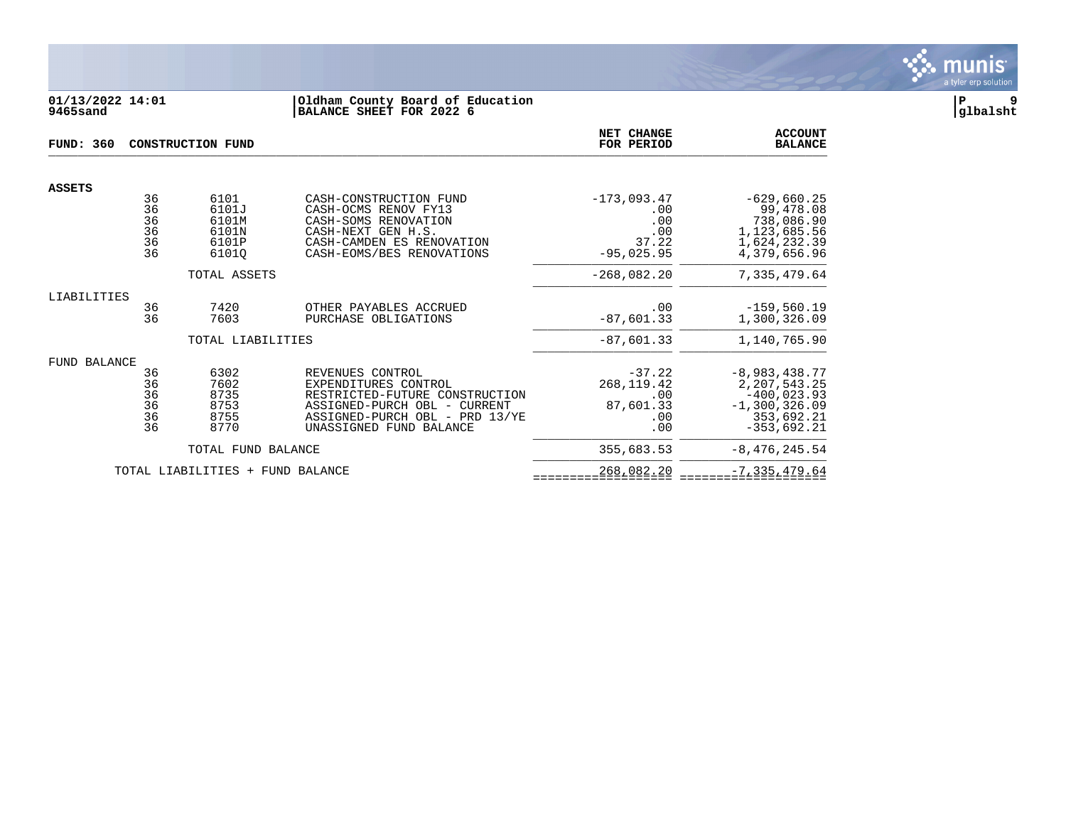

## **01/13/2022 14:01 |Oldham County Board of Education |P 9 9465sand |BALANCE SHEET FOR 2022 6 |glbalsht**

| <b>FUND: 360</b> |                                  | <b>CONSTRUCTION FUND</b>                          | NET CHANGE<br>FOR PERIOD                                                                                                                                                | <b>ACCOUNT</b><br><b>BALANCE</b>                            |                                                                                                         |
|------------------|----------------------------------|---------------------------------------------------|-------------------------------------------------------------------------------------------------------------------------------------------------------------------------|-------------------------------------------------------------|---------------------------------------------------------------------------------------------------------|
|                  |                                  |                                                   |                                                                                                                                                                         |                                                             |                                                                                                         |
| <b>ASSETS</b>    | 36<br>36<br>36<br>36<br>36<br>36 | 6101<br>6101J<br>6101M<br>6101N<br>6101P<br>61010 | CASH-CONSTRUCTION FUND<br>CASH-OCMS RENOV FY13<br>CASH-SOMS RENOVATION<br>CASH-NEXT GEN H.S.<br>CASH-CAMDEN ES RENOVATION<br>CASH-EOMS/BES RENOVATIONS                  | $-173,093.47$<br>.00<br>.00<br>.00<br>37.22<br>$-95,025.95$ | $-629,660.25$<br>99,478.08<br>738,086.90<br>1, 123, 685.56<br>1,624,232.39<br>4,379,656.96              |
|                  |                                  | TOTAL ASSETS                                      |                                                                                                                                                                         | $-268,082.20$                                               | 7,335,479.64                                                                                            |
| LIABILITIES      | 36<br>36                         | 7420<br>7603                                      | OTHER PAYABLES ACCRUED<br>PURCHASE OBLIGATIONS                                                                                                                          | .00<br>$-87,601.33$                                         | $-159,560.19$<br>1,300,326.09                                                                           |
|                  |                                  | TOTAL LIABILITIES                                 |                                                                                                                                                                         | $-87,601.33$                                                | 1,140,765.90                                                                                            |
| FUND BALANCE     | 36<br>36<br>36<br>36<br>36<br>36 | 6302<br>7602<br>8735<br>8753<br>8755<br>8770      | REVENUES CONTROL<br>EXPENDITURES CONTROL<br>RESTRICTED-FUTURE CONSTRUCTION<br>ASSIGNED-PURCH OBL - CURRENT<br>ASSIGNED-PURCH OBL - PRD 13/YE<br>UNASSIGNED FUND BALANCE | $-37.22$<br>268, 119.42<br>.00<br>87,601.33<br>.00<br>.00   | $-8,983,438.77$<br>2, 207, 543. 25<br>$-400,023.93$<br>$-1, 300, 326.09$<br>353,692.21<br>$-353,692.21$ |
|                  |                                  | TOTAL FUND BALANCE                                |                                                                                                                                                                         | 355,683.53                                                  | $-8,476,245.54$                                                                                         |
|                  |                                  | TOTAL LIABILITIES + FUND BALANCE                  |                                                                                                                                                                         | 268,082.20                                                  | $-7, 335, 479.64$                                                                                       |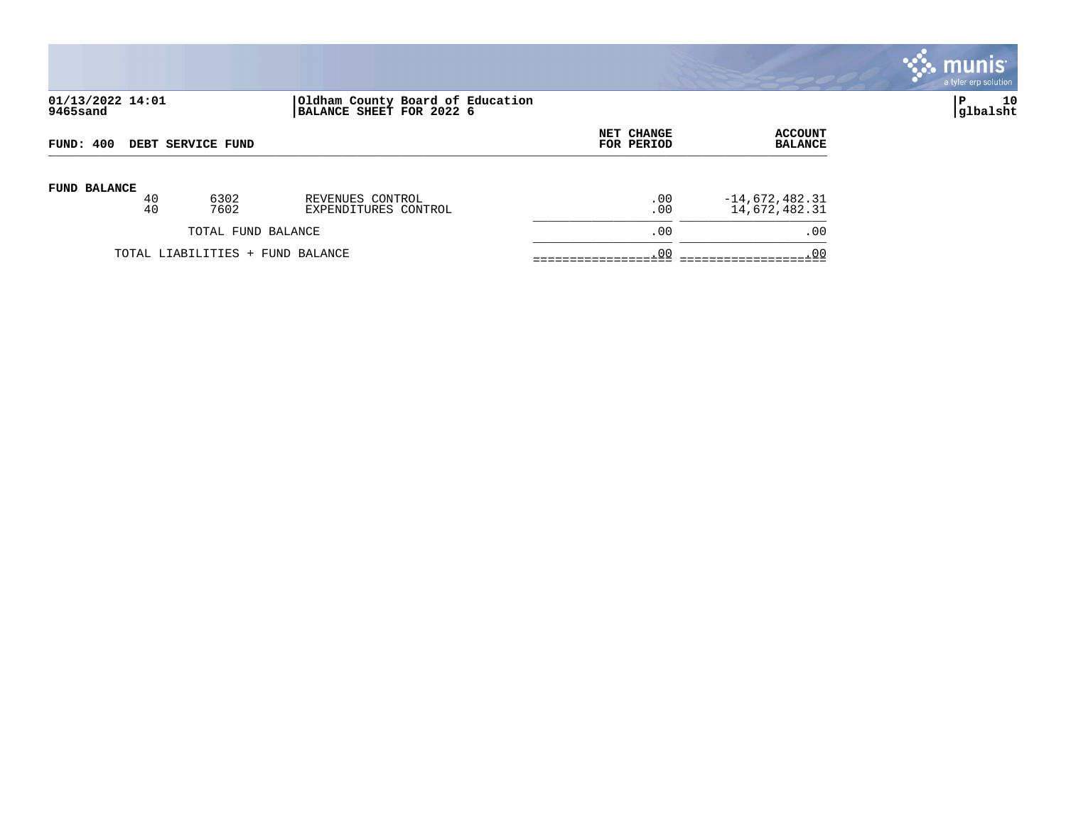

# **01/13/2022 14:01 |Oldham County Board of Education |P 10 9465sand |BALANCE SHEET FOR 2022 6 |glbalsht**

| FUND: 400                        |          | DEBT SERVICE FUND |                                          | <b>NET CHANGE</b><br>FOR PERIOD | <b>ACCOUNT</b><br><b>BALANCE</b>  |
|----------------------------------|----------|-------------------|------------------------------------------|---------------------------------|-----------------------------------|
| <b>FUND BALANCE</b>              | 40<br>40 | 6302<br>7602      | REVENUES CONTROL<br>EXPENDITURES CONTROL | $.00 \,$<br>.00                 | $-14,672,482.31$<br>14,672,482.31 |
| TOTAL FUND BALANCE               |          |                   | .00                                      | .00                             |                                   |
| TOTAL LIABILITIES + FUND BALANCE |          |                   |                                          | .00                             | .00                               |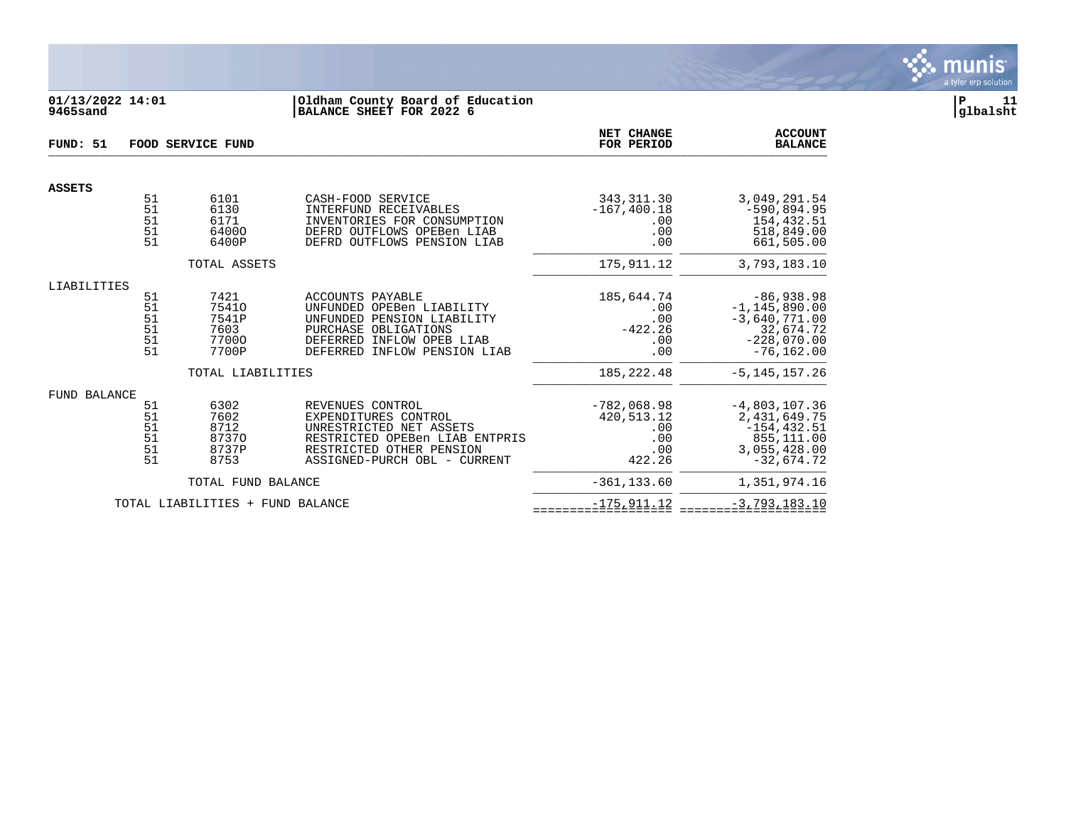

# **01/13/2022 14:01 |Oldham County Board of Education |P 11 9465sand |BALANCE SHEET FOR 2022 6 |glbalsht**

| FUND: 51                         |                                  | <b>FOOD SERVICE FUND</b>                         | NET CHANGE<br>FOR PERIOD                                                                                                                                          | <b>ACCOUNT</b><br><b>BALANCE</b>                           |                                                                                                     |
|----------------------------------|----------------------------------|--------------------------------------------------|-------------------------------------------------------------------------------------------------------------------------------------------------------------------|------------------------------------------------------------|-----------------------------------------------------------------------------------------------------|
| <b>ASSETS</b>                    |                                  |                                                  |                                                                                                                                                                   |                                                            |                                                                                                     |
|                                  | 51<br>51<br>51<br>51<br>51       | 6101<br>6130<br>6171<br>64000<br>6400P           | CASH-FOOD SERVICE<br>INTERFUND RECEIVABLES<br>INVENTORIES FOR CONSUMPTION<br>DEFRD OUTFLOWS OPEBen LIAB<br>DEFRD OUTFLOWS PENSION LIAB                            | 343, 311.30<br>$-167, 400.18$<br>.00<br>.00<br>.00         | 3,049,291.54<br>$-590,894.95$<br>154,432.51<br>518,849.00<br>661,505.00                             |
|                                  |                                  | TOTAL ASSETS                                     |                                                                                                                                                                   | 175, 911.12                                                | 3,793,183.10                                                                                        |
|                                  |                                  |                                                  |                                                                                                                                                                   |                                                            |                                                                                                     |
| LIABILITIES                      | 51<br>51<br>51<br>51<br>51<br>51 | 7421<br>75410<br>7541P<br>7603<br>77000<br>7700P | ACCOUNTS PAYABLE<br>UNFUNDED OPEBen LIABILITY<br>UNFUNDED PENSION LIABILITY<br>PURCHASE OBLIGATIONS<br>DEFERRED INFLOW OPEB LIAB<br>DEFERRED INFLOW PENSION LIAB  | 185,644.74<br>.00<br>.00<br>$-422.26$<br>.00<br>.00        | $-86,938.98$<br>$-1, 145, 890.00$<br>$-3,640,771.00$<br>32,674.72<br>$-228,070.00$<br>$-76, 162.00$ |
|                                  |                                  | TOTAL LIABILITIES                                |                                                                                                                                                                   | 185, 222.48                                                | $-5, 145, 157.26$                                                                                   |
| <b>FUND BALANCE</b>              | 51<br>51<br>51<br>51<br>51<br>51 | 6302<br>7602<br>8712<br>87370<br>8737P<br>8753   | REVENUES CONTROL<br>EXPENDITURES CONTROL<br>UNRESTRICTED NET ASSETS<br>RESTRICTED OPEBen LIAB ENTPRIS<br>RESTRICTED OTHER PENSION<br>ASSIGNED-PURCH OBL - CURRENT | $-782,068.98$<br>420,513.12<br>.00<br>.00<br>.00<br>422.26 | $-4,803,107.36$<br>2,431,649.75<br>$-154, 432.51$<br>855,111.00<br>3,055,428.00<br>$-32,674.72$     |
|                                  |                                  | TOTAL FUND BALANCE                               |                                                                                                                                                                   | $-361, 133.60$                                             | 1,351,974.16                                                                                        |
| TOTAL LIABILITIES + FUND BALANCE |                                  |                                                  | $-175, 911.12$                                                                                                                                                    | $-3,793,183.10$                                            |                                                                                                     |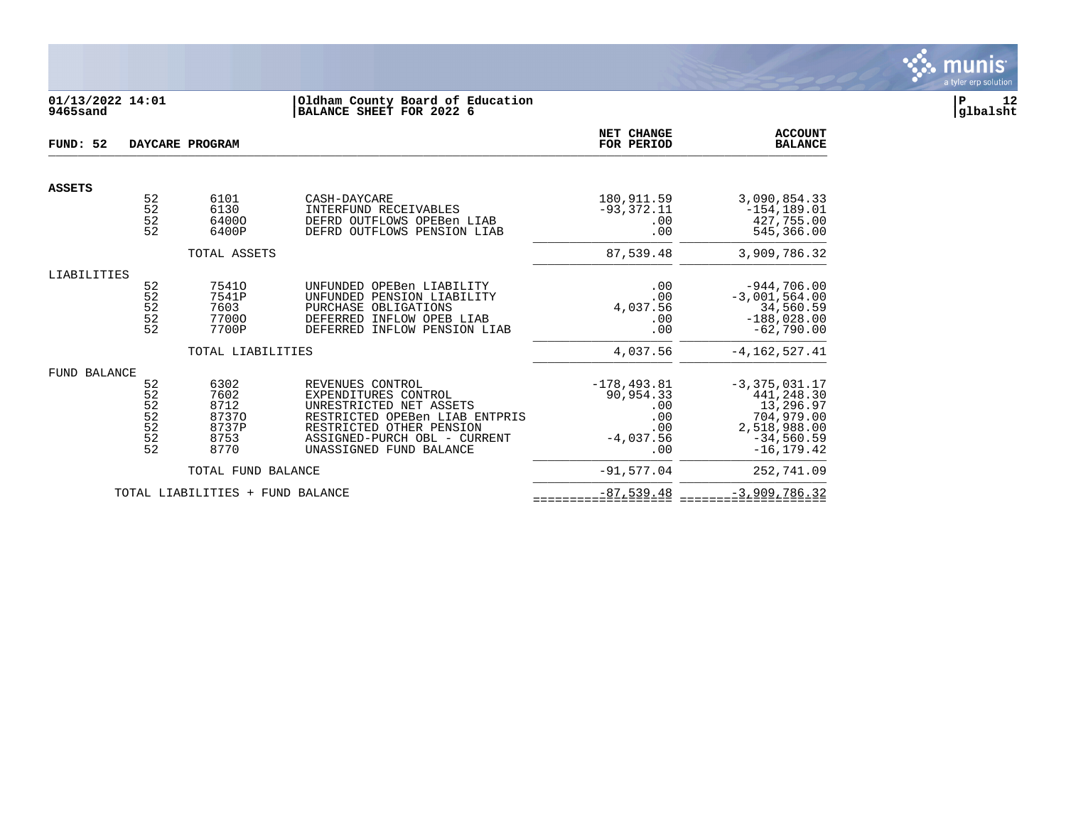

## **01/13/2022 14:01 |Oldham County Board of Education |P 12 9465sand |BALANCE SHEET FOR 2022 6 |glbalsht**

| FUND: 52      |                                             | DAYCARE PROGRAM                                        |                                                                                                                                                                                              | NET CHANGE<br>FOR PERIOD                                               | <b>ACCOUNT</b><br><b>BALANCE</b>                                                                         |
|---------------|---------------------------------------------|--------------------------------------------------------|----------------------------------------------------------------------------------------------------------------------------------------------------------------------------------------------|------------------------------------------------------------------------|----------------------------------------------------------------------------------------------------------|
| <b>ASSETS</b> |                                             |                                                        |                                                                                                                                                                                              |                                                                        |                                                                                                          |
|               | 52<br>52<br>52<br>52                        | 6101<br>6130<br>64000<br>6400P                         | CASH-DAYCARE<br>INTERFUND RECEIVABLES<br>DEFRD OUTFLOWS OPEBen LIAB<br>DEFRD OUTFLOWS PENSION LIAB                                                                                           | 180,911.59<br>$-93,372.11$<br>.00<br>.00                               | 3,090,854.33<br>$-154, 189.01$<br>427,755.00<br>545,366.00                                               |
|               |                                             | TOTAL ASSETS                                           |                                                                                                                                                                                              | 87,539.48                                                              | 3,909,786.32                                                                                             |
| LIABILITIES   | 52<br>52<br>52<br>52<br>52                  | 75410<br>7541P<br>7603<br>77000<br>7700P               | UNFUNDED OPEBen LIABILITY<br>UNFUNDED PENSION LIABILITY<br>PURCHASE OBLIGATIONS<br>DEFERRED INFLOW OPEB LIAB<br>DEFERRED INFLOW PENSION LIAB                                                 | .00<br>.00<br>4,037.56<br>.00<br>.00                                   | $-944,706.00$<br>$-3,001,564.00$<br>34,560.59<br>$-188,028.00$<br>$-62,790.00$                           |
|               |                                             | TOTAL LIABILITIES                                      |                                                                                                                                                                                              | 4,037.56                                                               | $-4, 162, 527.41$                                                                                        |
| FUND BALANCE  | 52<br>52<br>52<br>$\frac{5}{2}$<br>52<br>52 | 6302<br>7602<br>8712<br>87370<br>8737P<br>8753<br>8770 | REVENUES CONTROL<br>EXPENDITURES CONTROL<br>UNRESTRICTED NET ASSETS<br>RESTRICTED OPEBen LIAB ENTPRIS<br>RESTRICTED OTHER PENSION<br>ASSIGNED-PURCH OBL - CURRENT<br>UNASSIGNED FUND BALANCE | $-178, 493.81$<br>90,954.33<br>.00<br>.00<br>.00<br>$-4,037.56$<br>.00 | $-3,375,031.17$<br>441,248.30<br>13,296.97<br>704,979.00<br>2,518,988.00<br>$-34,560.59$<br>$-16.179.42$ |
|               |                                             | TOTAL FUND BALANCE                                     |                                                                                                                                                                                              | $-91, 577.04$                                                          | 252,741.09                                                                                               |
|               |                                             | TOTAL LIABILITIES + FUND BALANCE                       |                                                                                                                                                                                              | $-87,539.48$                                                           | $-3,909,786.32$                                                                                          |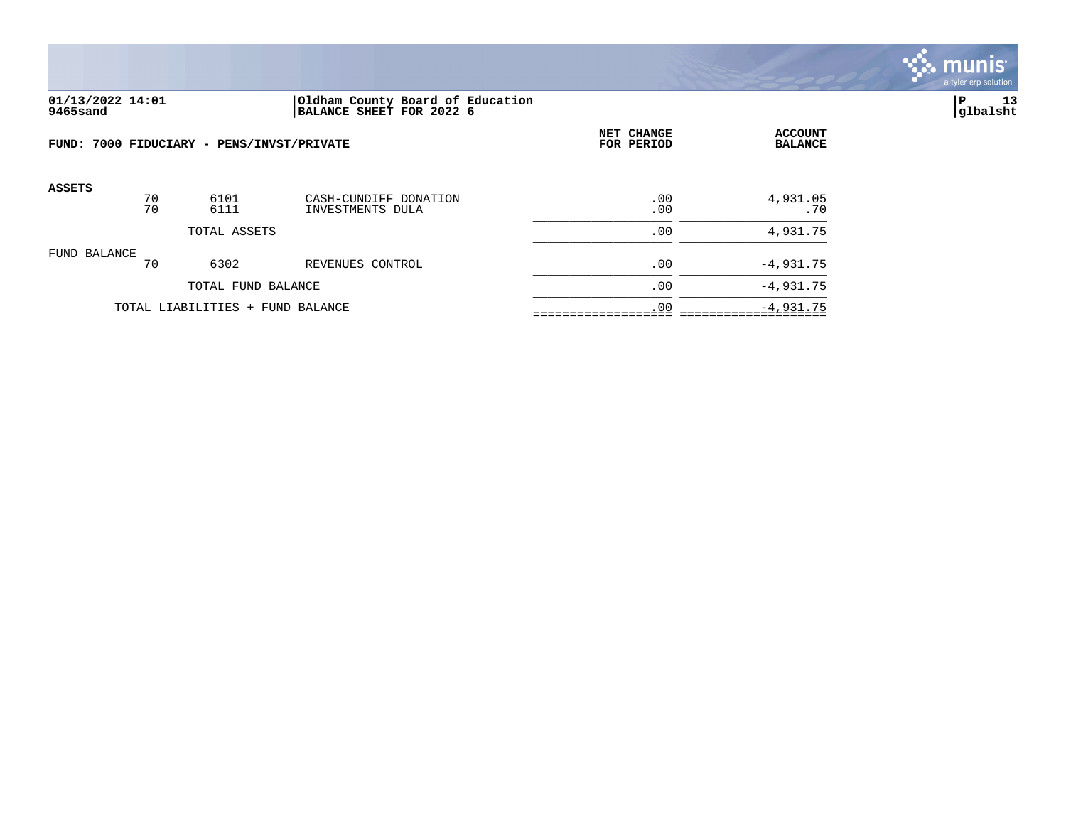

#### **01/13/2022 14:01 |Oldham County Board of Education |P 13 9465sand |BALANCE SHEET FOR 2022 6 |glbalsht**

| FUND: 7000 FIDUCIARY - PENS/INVST/PRIVATE |              |                                  |                                           | NET CHANGE<br>FOR PERIOD | <b>ACCOUNT</b><br><b>BALANCE</b> |
|-------------------------------------------|--------------|----------------------------------|-------------------------------------------|--------------------------|----------------------------------|
| <b>ASSETS</b>                             | 70<br>70     | 6101<br>6111                     | CASH-CUNDIFF DONATION<br>INVESTMENTS DULA | .00<br>.00               | 4,931.05<br>.70                  |
|                                           | TOTAL ASSETS |                                  |                                           | .00                      | 4,931.75                         |
| FUND BALANCE                              | 70           | 6302                             | REVENUES CONTROL                          | .00                      | $-4,931.75$                      |
|                                           |              | TOTAL FUND BALANCE               |                                           | .00                      | $-4,931.75$                      |
|                                           |              | TOTAL LIABILITIES + FUND BALANCE | .00                                       | $-4,931.75$              |                                  |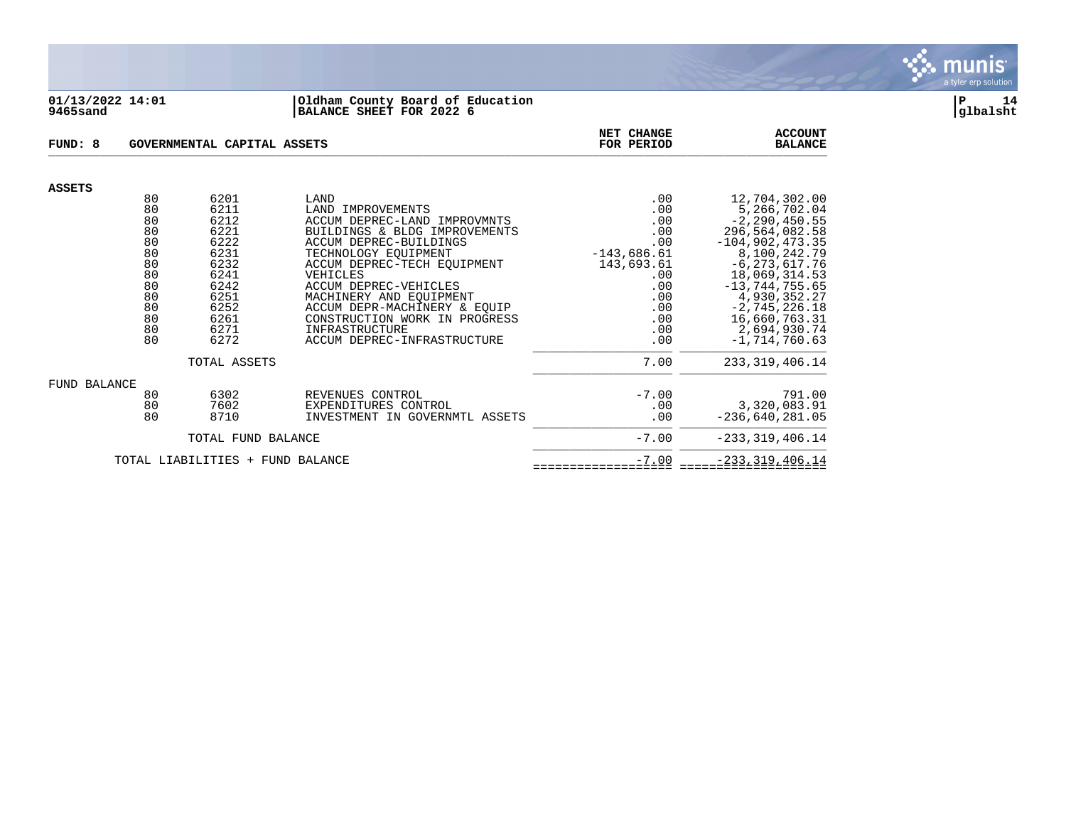

#### **01/13/2022 14:01 |Oldham County Board of Education |P 14 9465sand |BALANCE SHEET FOR 2022 6 |glbalsht**

| FUND: 8<br>GOVERNMENTAL CAPITAL ASSETS |                                                                                  |                                                                                                              |                                                                                                                                                                                                                                                                                                                                                               | NET CHANGE<br>FOR PERIOD                                                                                        | <b>ACCOUNT</b><br><b>BALANCE</b>                                                                                                                                                                                                                                 |
|----------------------------------------|----------------------------------------------------------------------------------|--------------------------------------------------------------------------------------------------------------|---------------------------------------------------------------------------------------------------------------------------------------------------------------------------------------------------------------------------------------------------------------------------------------------------------------------------------------------------------------|-----------------------------------------------------------------------------------------------------------------|------------------------------------------------------------------------------------------------------------------------------------------------------------------------------------------------------------------------------------------------------------------|
| <b>ASSETS</b>                          |                                                                                  |                                                                                                              |                                                                                                                                                                                                                                                                                                                                                               |                                                                                                                 |                                                                                                                                                                                                                                                                  |
|                                        | 80<br>80<br>80<br>80<br>80<br>80<br>80<br>80<br>80<br>80<br>80<br>80<br>80<br>80 | 6201<br>6211<br>6212<br>6221<br>6222<br>6231<br>6232<br>6241<br>6242<br>6251<br>6252<br>6261<br>6271<br>6272 | LAND<br>LAND IMPROVEMENTS<br>ACCUM DEPREC-LAND IMPROVMNTS<br>BUILDINGS & BLDG IMPROVEMENTS<br>ACCUM DEPREC-BUILDINGS<br>TECHNOLOGY EQUIPMENT<br>ACCUM DEPREC-TECH EQUIPMENT<br>VEHICLES<br>ACCUM DEPREC-VEHICLES<br>MACHINERY AND EQUIPMENT<br>ACCUM DEPR-MACHINERY & EQUIP<br>CONSTRUCTION WORK IN PROGRESS<br>INFRASTRUCTURE<br>ACCUM DEPREC-INFRASTRUCTURE | .00<br>.00<br>.00<br>.00<br>.00<br>$-143,686.61$<br>143,693.61<br>.00<br>.00<br>.00<br>.00<br>.00<br>.00<br>.00 | 12,704,302.00<br>5,266,702.04<br>$-2, 290, 450.55$<br>296,564,082.58<br>$-104, 902, 473.35$<br>8,100,242.79<br>$-6, 273, 617.76$<br>18,069,314.53<br>$-13, 744, 755.65$<br>4,930,352.27<br>$-2, 745, 226.18$<br>16,660,763.31<br>2,694,930.74<br>$-1,714,760.63$ |
|                                        |                                                                                  | TOTAL ASSETS                                                                                                 |                                                                                                                                                                                                                                                                                                                                                               | 7.00                                                                                                            | 233, 319, 406. 14                                                                                                                                                                                                                                                |
| FUND BALANCE                           | 80<br>80<br>80                                                                   | 6302<br>7602<br>8710                                                                                         | REVENUES CONTROL<br>EXPENDITURES CONTROL<br>INVESTMENT IN GOVERNMTL ASSETS                                                                                                                                                                                                                                                                                    | $-7.00$<br>.00<br>.00                                                                                           | 791.00<br>3,320,083.91<br>$-236,640,281.05$                                                                                                                                                                                                                      |
| TOTAL FUND BALANCE                     |                                                                                  |                                                                                                              |                                                                                                                                                                                                                                                                                                                                                               | $-7.00$                                                                                                         | $-233, 319, 406.14$                                                                                                                                                                                                                                              |
| TOTAL LIABILITIES + FUND BALANCE       |                                                                                  |                                                                                                              |                                                                                                                                                                                                                                                                                                                                                               | $-7.00$                                                                                                         | $-233, 319, 406.14$                                                                                                                                                                                                                                              |